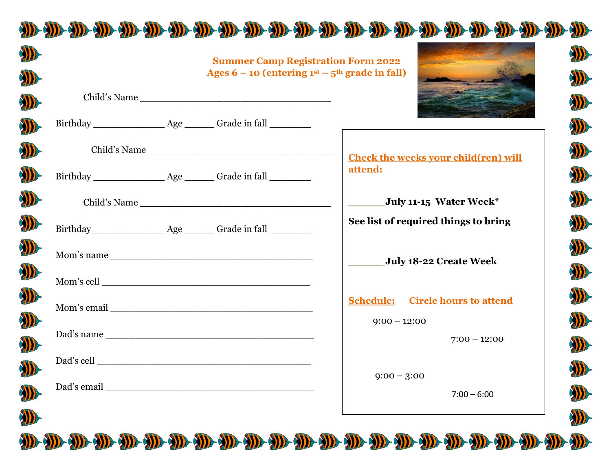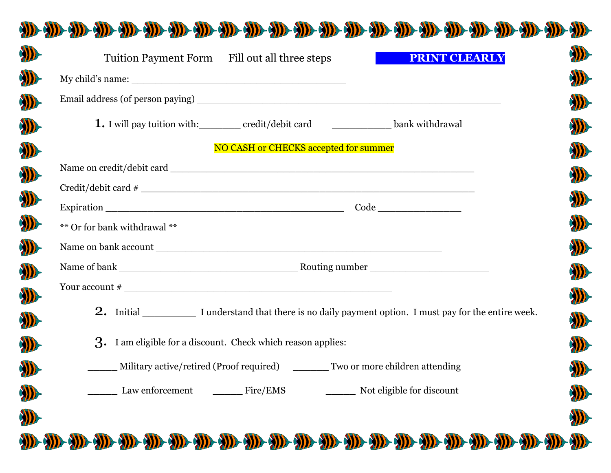

**AND** 

|                                                              |                                       | 1. I will pay tuition with: credit/debit card creation bank withdrawal            |  |
|--------------------------------------------------------------|---------------------------------------|-----------------------------------------------------------------------------------|--|
|                                                              | NO CASH or CHECKS accepted for summer |                                                                                   |  |
|                                                              |                                       |                                                                                   |  |
|                                                              |                                       |                                                                                   |  |
|                                                              |                                       |                                                                                   |  |
| ** Or for bank withdrawal **                                 |                                       |                                                                                   |  |
|                                                              |                                       |                                                                                   |  |
|                                                              |                                       |                                                                                   |  |
|                                                              |                                       |                                                                                   |  |
|                                                              |                                       |                                                                                   |  |
| 3. I am eligible for a discount. Check which reason applies: |                                       |                                                                                   |  |
|                                                              |                                       | Military active/retired (Proof required) _________ Two or more children attending |  |
|                                                              |                                       |                                                                                   |  |
|                                                              |                                       |                                                                                   |  |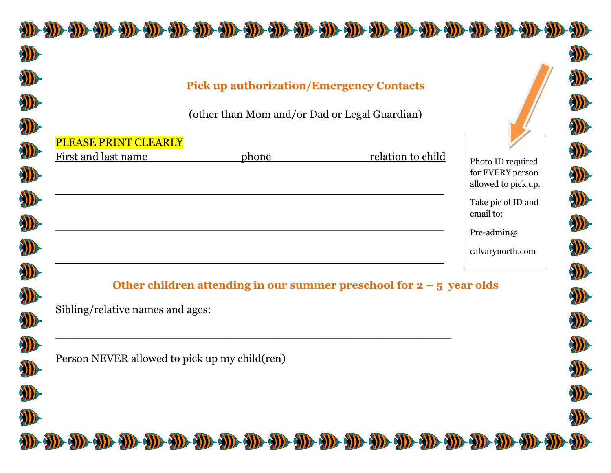|                                  | <b>Pick up authorization/Emergency Contacts</b>                        |                   |                                                              |
|----------------------------------|------------------------------------------------------------------------|-------------------|--------------------------------------------------------------|
|                                  | (other than Mom and/or Dad or Legal Guardian)                          |                   |                                                              |
| PLEASE PRINT CLEARLY             |                                                                        |                   |                                                              |
| First and last name              | phone                                                                  | relation to child | Photo ID required<br>for EVERY person<br>allowed to pick up. |
|                                  |                                                                        |                   | Take pic of ID and<br>email to:                              |
|                                  |                                                                        |                   | Pre-admin $@$                                                |
|                                  |                                                                        |                   | calvarynorth.com                                             |
|                                  | Other children attending in our summer preschool for $2 - 5$ year olds |                   |                                                              |
| Sibling/relative names and ages: |                                                                        |                   |                                                              |
|                                  | Person NEVER allowed to pick up my child(ren)                          |                   |                                                              |
|                                  |                                                                        |                   |                                                              |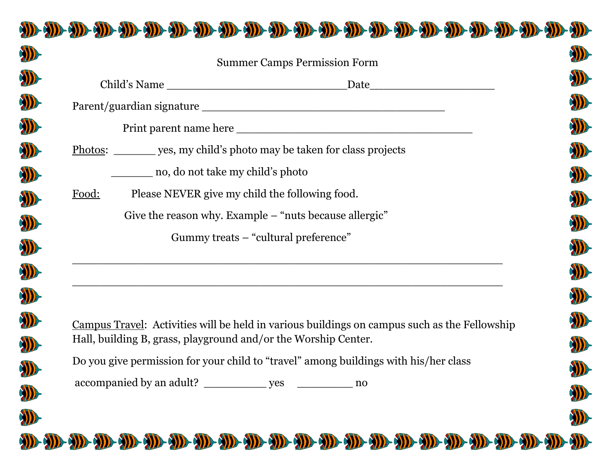|       | <b>Summer Camps Permission Form</b>                                            |  |
|-------|--------------------------------------------------------------------------------|--|
|       |                                                                                |  |
|       |                                                                                |  |
|       |                                                                                |  |
|       | <u>Photos:</u> _________ yes, my child's photo may be taken for class projects |  |
|       | no, do not take my child's photo                                               |  |
| Food: | Please NEVER give my child the following food.                                 |  |
|       | Give the reason why. Example – "nuts because allergic"                         |  |
|       | Gummy treats – "cultural preference"                                           |  |
|       | <u> 1989 - Johann Stoff, amerikansk politiker (d. 1989)</u>                    |  |
|       |                                                                                |  |

Do you give permission for your child to "travel" among buildings with his/her class

D

D

D

accompanied by an adult? \_\_\_\_\_\_\_\_\_\_\_ yes \_\_\_\_\_\_\_\_\_ no



D

D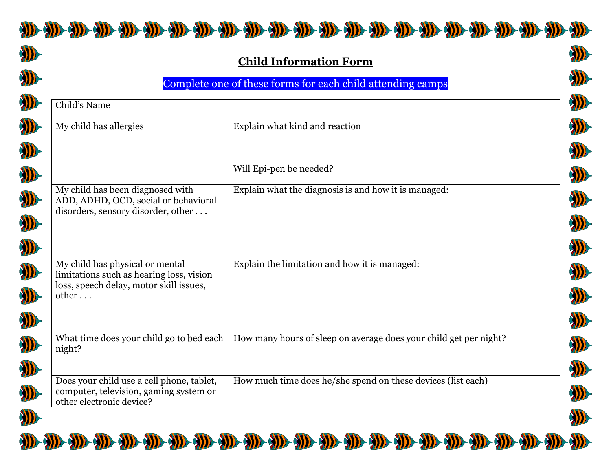



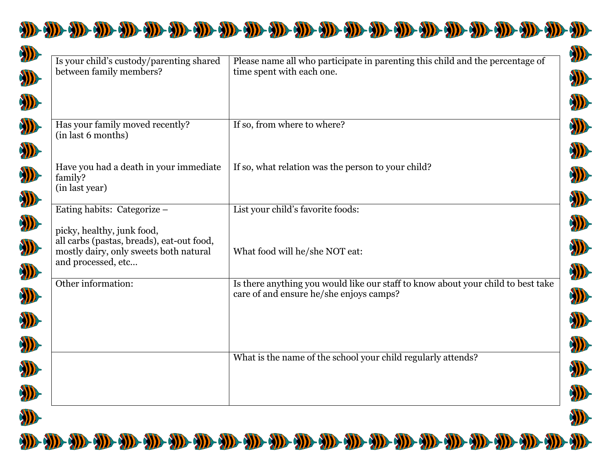

| Is your child's custody/parenting shared<br>between family members?                                                                     | Please name all who participate in parenting this child and the percentage of<br>time spent with each one.                  |
|-----------------------------------------------------------------------------------------------------------------------------------------|-----------------------------------------------------------------------------------------------------------------------------|
|                                                                                                                                         |                                                                                                                             |
| Has your family moved recently?<br>(in last 6 months)                                                                                   | If so, from where to where?                                                                                                 |
| Have you had a death in your immediate<br>family?<br>(in last year)                                                                     | If so, what relation was the person to your child?                                                                          |
| Eating habits: Categorize -                                                                                                             | List your child's favorite foods:                                                                                           |
| picky, healthy, junk food,<br>all carbs (pastas, breads), eat-out food,<br>mostly dairy, only sweets both natural<br>and processed, etc | What food will he/she NOT eat:                                                                                              |
| Other information:                                                                                                                      | Is there anything you would like our staff to know about your child to best take<br>care of and ensure he/she enjoys camps? |
|                                                                                                                                         | What is the name of the school your child regularly attends?                                                                |
|                                                                                                                                         |                                                                                                                             |



A.



WE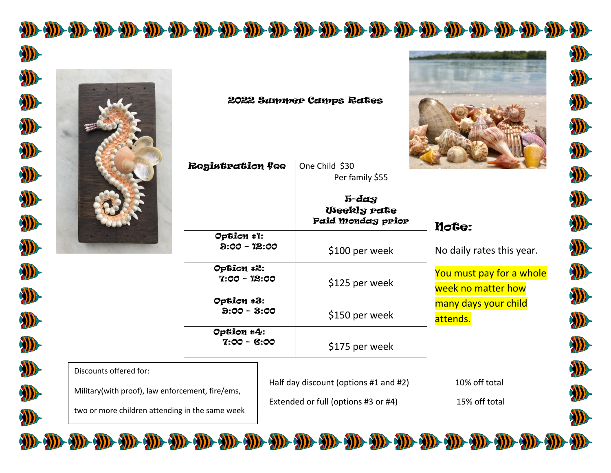